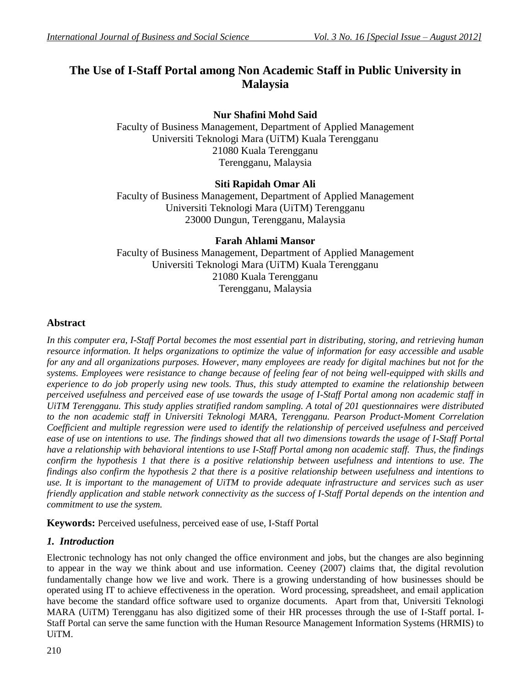# **The Use of I-Staff Portal among Non Academic Staff in Public University in Malaysia**

# **Nur Shafini Mohd Said**

Faculty of Business Management, Department of Applied Management Universiti Teknologi Mara (UiTM) Kuala Terengganu 21080 Kuala Terengganu Terengganu, Malaysia

# **Siti Rapidah Omar Ali**

Faculty of Business Management, Department of Applied Management Universiti Teknologi Mara (UiTM) Terengganu 23000 Dungun, Terengganu, Malaysia

# **Farah Ahlami Mansor**

Faculty of Business Management, Department of Applied Management Universiti Teknologi Mara (UiTM) Kuala Terengganu 21080 Kuala Terengganu Terengganu, Malaysia

# **Abstract**

In this computer era, I-Staff Portal becomes the most essential part in distributing, storing, and retrieving human *resource information. It helps organizations to optimize the value of information for easy accessible and usable* for any and all organizations purposes. However, many employees are ready for digital machines but not for the *systems. Employees were resistance to change because of feeling fear of not being well-equipped with skills and experience to do job properly using new tools. Thus, this study attempted to examine the relationship between perceived usefulness and perceived ease of use towards the usage of I-Staff Portal among non academic staff in UiTM Terengganu. This study applies stratified random sampling. A total of 201 questionnaires were distributed to the non academic staff in Universiti Teknologi MARA, Terengganu. Pearson Product-Moment Correlation Coefficient and multiple regression were used to identify the relationship of perceived usefulness and perceived ease of use on intentions to use. The findings showed that all two dimensions towards the usage of I-Staff Portal have a relationship with behavioral intentions to use I-Staff Portal among non academic staff. Thus, the findings confirm the hypothesis 1 that there is a positive relationship between usefulness and intentions to use. The findings also confirm the hypothesis 2 that there is a positive relationship between usefulness and intentions to use. It is important to the management of UiTM to provide adequate infrastructure and services such as user friendly application and stable network connectivity as the success of I-Staff Portal depends on the intention and commitment to use the system.* 

**Keywords:** Perceived usefulness, perceived ease of use, I-Staff Portal

# *1. Introduction*

Electronic technology has not only changed the office environment and jobs, but the changes are also beginning to appear in the way we think about and use information. Ceeney (2007) claims that, the digital revolution fundamentally change how we live and work. There is a growing understanding of how businesses should be operated using IT to achieve effectiveness in the operation. Word processing, spreadsheet, and email application have become the standard office software used to organize documents. Apart from that, Universiti Teknologi MARA (UiTM) Terengganu has also digitized some of their HR processes through the use of I-Staff portal. I-Staff Portal can serve the same function with the Human Resource Management Information Systems (HRMIS) to UiTM.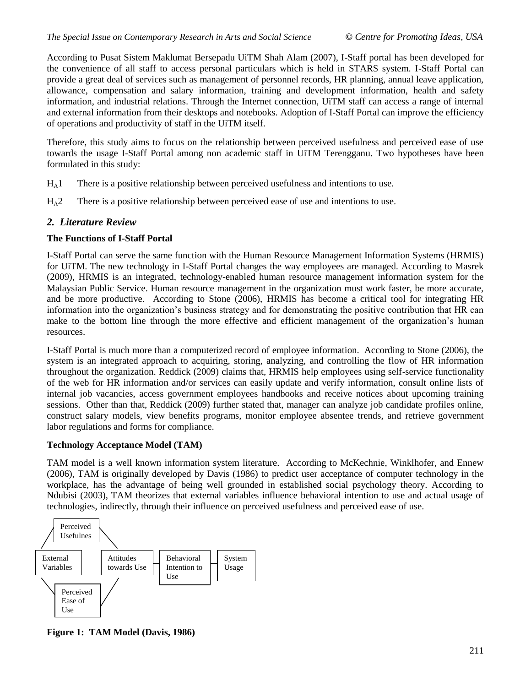According to Pusat Sistem Maklumat Bersepadu UiTM Shah Alam (2007), I-Staff portal has been developed for the convenience of all staff to access personal particulars which is held in STARS system. I-Staff Portal can provide a great deal of services such as management of personnel records, HR planning, annual leave application, allowance, compensation and salary information, training and development information, health and safety information, and industrial relations. Through the Internet connection, UiTM staff can access a range of internal and external information from their desktops and notebooks. Adoption of I-Staff Portal can improve the efficiency of operations and productivity of staff in the UiTM itself.

Therefore, this study aims to focus on the relationship between perceived usefulness and perceived ease of use towards the usage I-Staff Portal among non academic staff in UiTM Terengganu. Two hypotheses have been formulated in this study:

- $H_A1$  There is a positive relationship between perceived usefulness and intentions to use.
- $H_A2$  There is a positive relationship between perceived ease of use and intentions to use.

### *2. Literature Review*

#### **The Functions of I-Staff Portal**

I-Staff Portal can serve the same function with the Human Resource Management Information Systems (HRMIS) for UiTM. The new technology in I-Staff Portal changes the way employees are managed. According to Masrek (2009), HRMIS is an integrated, technology-enabled human resource management information system for the Malaysian Public Service. Human resource management in the organization must work faster, be more accurate, and be more productive. According to Stone (2006), HRMIS has become a critical tool for integrating HR information into the organization's business strategy and for demonstrating the positive contribution that HR can make to the bottom line through the more effective and efficient management of the organization's human resources.

I-Staff Portal is much more than a computerized record of employee information. According to Stone (2006), the system is an integrated approach to acquiring, storing, analyzing, and controlling the flow of HR information throughout the organization. Reddick (2009) claims that, HRMIS help employees using self-service functionality of the web for HR information and/or services can easily update and verify information, consult online lists of internal job vacancies, access government employees handbooks and receive notices about upcoming training sessions. Other than that, Reddick (2009) further stated that, manager can analyze job candidate profiles online, construct salary models, view benefits programs, monitor employee absentee trends, and retrieve government labor regulations and forms for compliance.

#### **Technology Acceptance Model (TAM)**

TAM model is a well known information system literature. According to McKechnie, Winklhofer, and Ennew (2006), TAM is originally developed by Davis (1986) to predict user acceptance of computer technology in the workplace, has the advantage of being well grounded in established social psychology theory. According to Ndubisi (2003), TAM theorizes that external variables influence behavioral intention to use and actual usage of technologies, indirectly, through their influence on perceived usefulness and perceived ease of use.



**Figure 1: TAM Model (Davis, 1986)**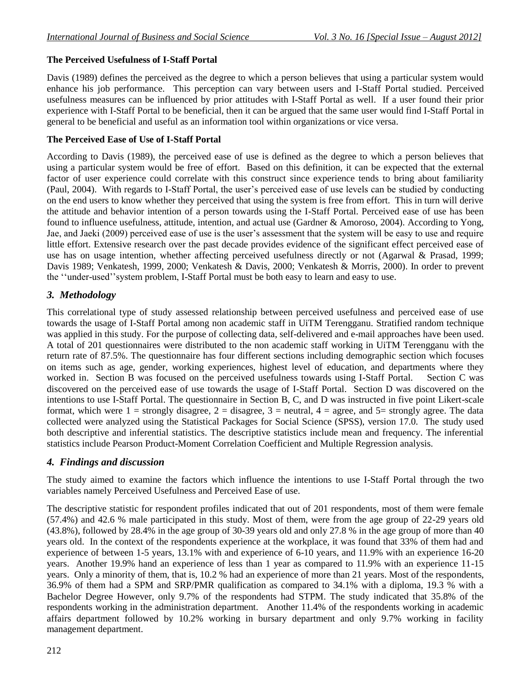# **The Perceived Usefulness of I-Staff Portal**

Davis (1989) defines the perceived as the degree to which a person believes that using a particular system would enhance his job performance. This perception can vary between users and I-Staff Portal studied. Perceived usefulness measures can be influenced by prior attitudes with I-Staff Portal as well. If a user found their prior experience with I-Staff Portal to be beneficial, then it can be argued that the same user would find I-Staff Portal in general to be beneficial and useful as an information tool within organizations or vice versa.

### **The Perceived Ease of Use of I-Staff Portal**

According to Davis (1989), the perceived ease of use is defined as the degree to which a person believes that using a particular system would be free of effort. Based on this definition, it can be expected that the external factor of user experience could correlate with this construct since experience tends to bring about familiarity (Paul, 2004). With regards to I-Staff Portal, the user's perceived ease of use levels can be studied by conducting on the end users to know whether they perceived that using the system is free from effort. This in turn will derive the attitude and behavior intention of a person towards using the I-Staff Portal. Perceived ease of use has been found to influence usefulness, attitude, intention, and actual use (Gardner & Amoroso, 2004). According to Yong, Jae, and Jaeki (2009) perceived ease of use is the user's assessment that the system will be easy to use and require little effort. Extensive research over the past decade provides evidence of the significant effect perceived ease of use has on usage intention, whether affecting perceived usefulness directly or not (Agarwal & Prasad, 1999; Davis 1989; Venkatesh, 1999, 2000; Venkatesh & Davis, 2000; Venkatesh & Morris, 2000). In order to prevent the ''under-used''system problem, I-Staff Portal must be both easy to learn and easy to use.

# *3. Methodology*

This correlational type of study assessed relationship between perceived usefulness and perceived ease of use towards the usage of I-Staff Portal among non academic staff in UiTM Terengganu. Stratified random technique was applied in this study. For the purpose of collecting data, self-delivered and e-mail approaches have been used. A total of 201 questionnaires were distributed to the non academic staff working in UiTM Terengganu with the return rate of 87.5%. The questionnaire has four different sections including demographic section which focuses on items such as age, gender, working experiences, highest level of education, and departments where they worked in. Section B was focused on the perceived usefulness towards using I-Staff Portal. Section C was discovered on the perceived ease of use towards the usage of I-Staff Portal. Section D was discovered on the intentions to use I-Staff Portal. The questionnaire in Section B, C, and D was instructed in five point Likert-scale format, which were  $1 =$  strongly disagree,  $2 =$  disagree,  $3 =$  neutral,  $4 =$  agree, and  $5 =$  strongly agree. The data collected were analyzed using the Statistical Packages for Social Science (SPSS), version 17.0. The study used both descriptive and inferential statistics. The descriptive statistics include mean and frequency. The inferential statistics include Pearson Product-Moment Correlation Coefficient and Multiple Regression analysis.

# *4. Findings and discussion*

The study aimed to examine the factors which influence the intentions to use I-Staff Portal through the two variables namely Perceived Usefulness and Perceived Ease of use.

The descriptive statistic for respondent profiles indicated that out of 201 respondents, most of them were female (57.4%) and 42.6 % male participated in this study. Most of them, were from the age group of 22-29 years old (43.8%), followed by 28.4% in the age group of 30-39 years old and only 27.8 % in the age group of more than 40 years old. In the context of the respondents experience at the workplace, it was found that 33% of them had and experience of between 1-5 years, 13.1% with and experience of 6-10 years, and 11.9% with an experience 16-20 years. Another 19.9% hand an experience of less than 1 year as compared to 11.9% with an experience 11-15 years. Only a minority of them, that is, 10.2 % had an experience of more than 21 years. Most of the respondents, 36.9% of them had a SPM and SRP/PMR qualification as compared to 34.1% with a diploma, 19.3 % with a Bachelor Degree However, only 9.7% of the respondents had STPM. The study indicated that 35.8% of the respondents working in the administration department. Another 11.4% of the respondents working in academic affairs department followed by 10.2% working in bursary department and only 9.7% working in facility management department.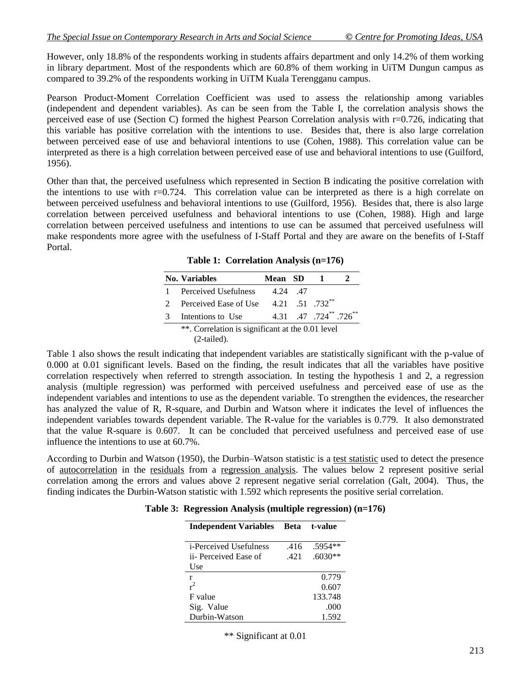However, only 18.8% of the respondents working in students affairs department and only 14.2% of them working in library department. Most of the respondents which are 60.8% of them working in UiTM Dungun campus as compared to 39.2% of the respondents working in UiTM Kuala Terengganu campus.

Pearson Product-Moment Correlation Coefficient was used to assess the relationship among variables (independent and dependent variables). As can be seen from the Table I, the correlation analysis shows the perceived ease of use (Section C) formed the highest Pearson Correlation analysis with r=0.726, indicating that this variable has positive correlation with the intentions to use. Besides that, there is also large correlation between perceived ease of use and behavioral intentions to use (Cohen, 1988). This correlation value can be interpreted as there is a high correlation between perceived ease of use and behavioral intentions to use (Guilford, 1956).

Other than that, the perceived usefulness which represented in Section B indicating the positive correlation with the intentions to use with r=0.724. This correlation value can be interpreted as there is a high correlate on between perceived usefulness and behavioral intentions to use (Guilford, 1956). Besides that, there is also large correlation between perceived usefulness and behavioral intentions to use (Cohen, 1988). High and large correlation between perceived usefulness and intentions to use can be assumed that perceived usefulness will make respondents more agree with the usefulness of I-Staff Portal and they are aware on the benefits of I-Staff Portal.

**Table 1: Correlation Analysis (n=176)**

|   | <b>No. Variables</b>                                              | Mean SD |                                                      |  |
|---|-------------------------------------------------------------------|---------|------------------------------------------------------|--|
|   | Perceived Usefulness                                              | 4 24 47 |                                                      |  |
|   | Perceived Ease of Use 4.21 .51 .732 <sup>**</sup>                 |         |                                                      |  |
| 3 | Intentions to Use                                                 |         | 4.31 $.47$ $.724$ <sup>**</sup> $.726$ <sup>**</sup> |  |
|   | **. Correlation is significant at the 0.01 level<br>$(2-tailed).$ |         |                                                      |  |

Table 1 also shows the result indicating that independent variables are statistically significant with the p-value of 0.000 at 0.01 significant levels. Based on the finding, the result indicates that all the variables have positive correlation respectively when referred to strength association. In testing the hypothesis 1 and 2, a regression analysis (multiple regression) was performed with perceived usefulness and perceived ease of use as the independent variables and intentions to use as the dependent variable. To strengthen the evidences, the researcher has analyzed the value of R, R-square, and Durbin and Watson where it indicates the level of influences the independent variables towards dependent variable. The R-value for the variables is 0.779. It also demonstrated that the value R-square is 0.607. It can be concluded that perceived usefulness and perceived ease of use influence the intentions to use at 60.7%.

According to Durbin and Watson (1950), the Durbin–Watson statistic is a [test statistic](http://en.wikipedia.org/wiki/Test_statistic) used to detect the presence of [autocorrelation](http://en.wikipedia.org/wiki/Autocorrelation) in the [residuals](http://en.wikipedia.org/wiki/Errors_and_residuals_in_statistics) from a [regression analysis.](http://en.wikipedia.org/wiki/Regression_analysis) The values below 2 represent positive serial correlation among the errors and values above 2 represent negative serial correlation (Galt, 2004). Thus, the finding indicates the Durbin-Watson statistic with 1.592 which represents the positive serial correlation.

**Table 3: Regression Analysis (multiple regression) (n=176)**

| <b>Independent Variables</b>   | <b>Beta</b> | t-value   |  |
|--------------------------------|-------------|-----------|--|
|                                |             |           |  |
| <i>i</i> -Perceived Usefulness | .416        | $.5954**$ |  |
| ii- Perceived Ease of          | .421        | $.6030**$ |  |
| Use                            |             |           |  |
| r                              |             | 0.779     |  |
| $r^2$                          |             | 0.607     |  |
| F value                        |             | 133.748   |  |
| Sig. Value                     |             | .000      |  |
| Durbin-Watson                  |             | 1.592     |  |

\*\* Significant at 0.01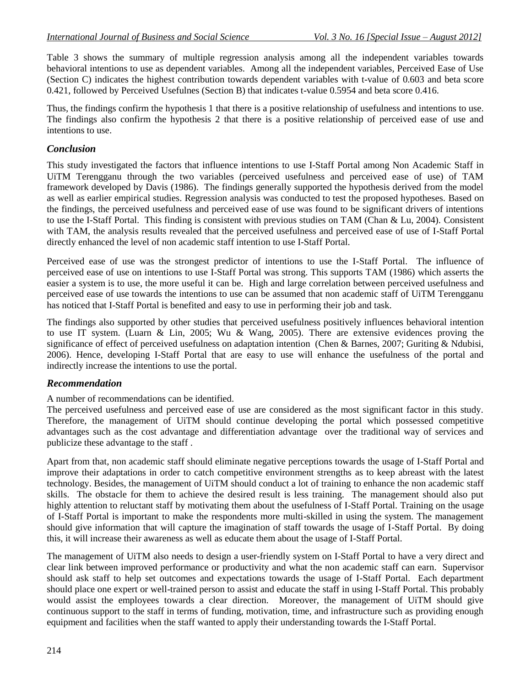Table 3 shows the summary of multiple regression analysis among all the independent variables towards behavioral intentions to use as dependent variables. Among all the independent variables, Perceived Ease of Use (Section C) indicates the highest contribution towards dependent variables with t-value of 0.603 and beta score 0.421, followed by Perceived Usefulnes (Section B) that indicates t-value 0.5954 and beta score 0.416.

Thus, the findings confirm the hypothesis 1 that there is a positive relationship of usefulness and intentions to use. The findings also confirm the hypothesis 2 that there is a positive relationship of perceived ease of use and intentions to use.

### *Conclusion*

This study investigated the factors that influence intentions to use I-Staff Portal among Non Academic Staff in UiTM Terengganu through the two variables (perceived usefulness and perceived ease of use) of TAM framework developed by Davis (1986). The findings generally supported the hypothesis derived from the model as well as earlier empirical studies. Regression analysis was conducted to test the proposed hypotheses. Based on the findings, the perceived usefulness and perceived ease of use was found to be significant drivers of intentions to use the I-Staff Portal. This finding is consistent with previous studies on TAM (Chan & Lu, 2004). Consistent with TAM, the analysis results revealed that the perceived usefulness and perceived ease of use of I-Staff Portal directly enhanced the level of non academic staff intention to use I-Staff Portal.

Perceived ease of use was the strongest predictor of intentions to use the I-Staff Portal. The influence of perceived ease of use on intentions to use I-Staff Portal was strong. This supports TAM (1986) which asserts the easier a system is to use, the more useful it can be. High and large correlation between perceived usefulness and perceived ease of use towards the intentions to use can be assumed that non academic staff of UiTM Terengganu has noticed that I-Staff Portal is benefited and easy to use in performing their job and task.

The findings also supported by other studies that perceived usefulness positively influences behavioral intention to use IT system. (Luarn & Lin, 2005; Wu & Wang, 2005). There are extensive evidences proving the significance of effect of perceived usefulness on adaptation intention (Chen & Barnes, 2007; Guriting & Ndubisi, 2006). Hence, developing I-Staff Portal that are easy to use will enhance the usefulness of the portal and indirectly increase the intentions to use the portal.

### *Recommendation*

### A number of recommendations can be identified.

The perceived usefulness and perceived ease of use are considered as the most significant factor in this study. Therefore, the management of UiTM should continue developing the portal which possessed competitive advantages such as the cost advantage and differentiation advantage over the traditional way of services and publicize these advantage to the staff .

Apart from that, non academic staff should eliminate negative perceptions towards the usage of I-Staff Portal and improve their adaptations in order to catch competitive environment strengths as to keep abreast with the latest technology. Besides, the management of UiTM should conduct a lot of training to enhance the non academic staff skills. The obstacle for them to achieve the desired result is less training. The management should also put highly attention to reluctant staff by motivating them about the usefulness of I-Staff Portal. Training on the usage of I-Staff Portal is important to make the respondents more multi-skilled in using the system. The management should give information that will capture the imagination of staff towards the usage of I-Staff Portal. By doing this, it will increase their awareness as well as educate them about the usage of I-Staff Portal.

The management of UiTM also needs to design a user-friendly system on I-Staff Portal to have a very direct and clear link between improved performance or productivity and what the non academic staff can earn. Supervisor should ask staff to help set outcomes and expectations towards the usage of I-Staff Portal. Each department should place one expert or well-trained person to assist and educate the staff in using I-Staff Portal. This probably would assist the employees towards a clear direction. Moreover, the management of UiTM should give continuous support to the staff in terms of funding, motivation, time, and infrastructure such as providing enough equipment and facilities when the staff wanted to apply their understanding towards the I-Staff Portal.